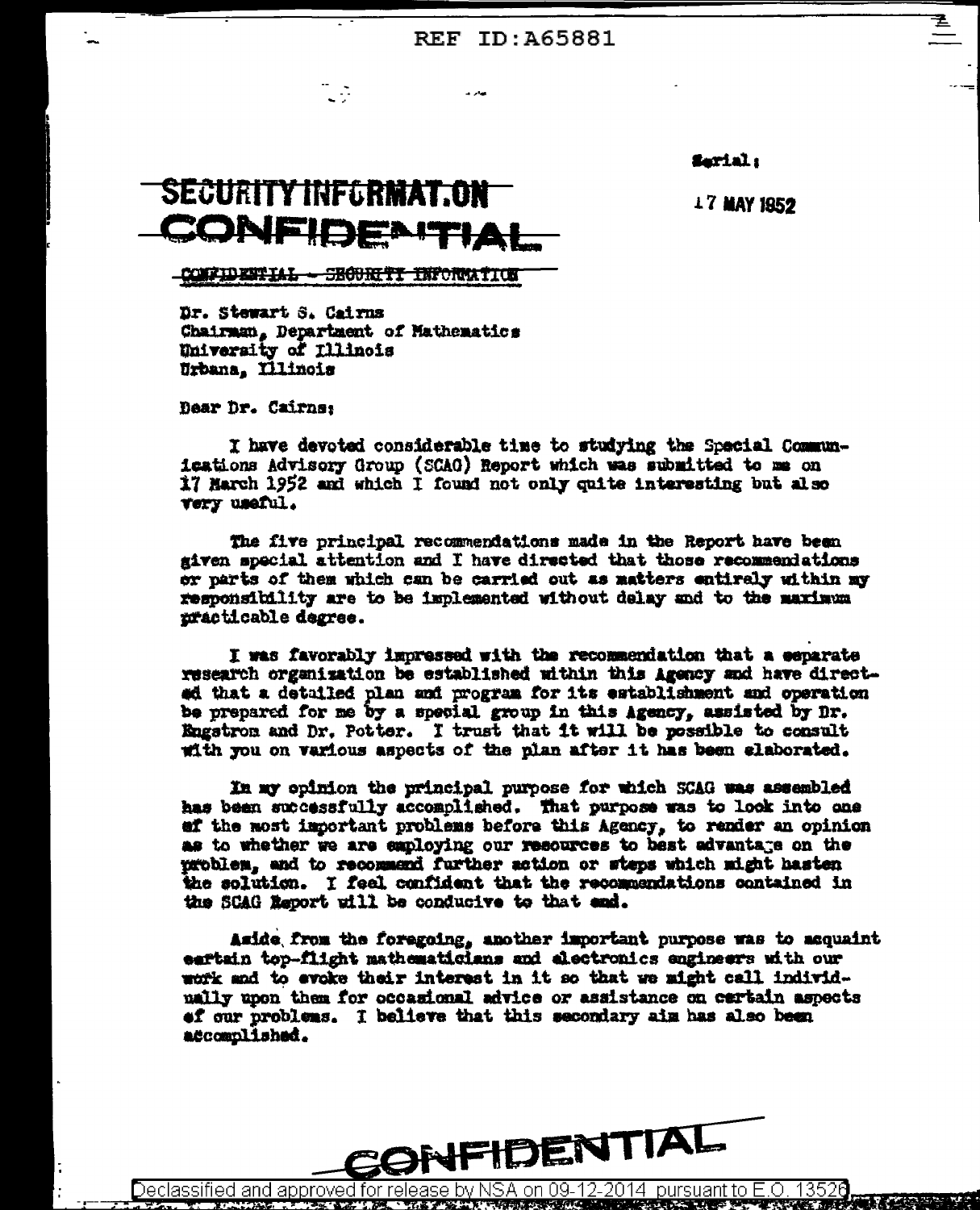**REF ID: A65881** 

farial:

**17 MAY 1952** 

## **SECURITY INFLRMAT.ON** CONFIDENT

L D

**CONFIDENTIAL - SECURITI INFORMATION** 

Dr. Stewart S. Cairns Chairman, Department of Mathematics University of Illinois Urbana, Illinois

Dear Dr. Cairns:

I have devoted considerable time to studying the Special Communications Advisory Group (SCAG) Report which was submitted to me on 17 March 1952 and which I found not only quite interesting but also very useful.

The five principal recommendations made in the Report have been given special attention and I have directed that those recommendations or parts of them which can be carried out as matters entirely within my responsibility are to be implemented without delay and to the maximum practicable degree.

I was favorably impressed with the recommendation that a eeparate research organization be established within this Agency and have directed that a detailed plan and program for its establishment and operation be prepared for me by a special group in this Agency, assisted by Dr. Engstron and Dr. Potter. I trust that it will be possible to consult with you on various aspects of the plan after it has been claborated.

In my opinion the principal purpose for which SCAG was assembled has been successfully accomplished. That purpose was to look into one af the most important problems before this Agency, to render an opinion as to whether we are employing our resources to best advantage on the problem, and to recommend further action or steps which might hasten the solution. I feel confident that the recommendations contained in the SCAG Report will be conducive to that end.

Aside from the foregoing, another important purpose was to acquaint eartain top-flight mathematicians and alectronics engineers with our work and to evoke their interest in it so that we might call individmally upon them for occasional advice or assistance on cartain aspects of our problems. I believe that this secondary aim has also been accomplished.



Declassified and approved for release by NSA on 09-12-2014  $\,$  pursuant to E.O. 1352 $d$ **LOOKING AND ALL AND AND ACTIVE AND ACTIVE READERS** THE TWO